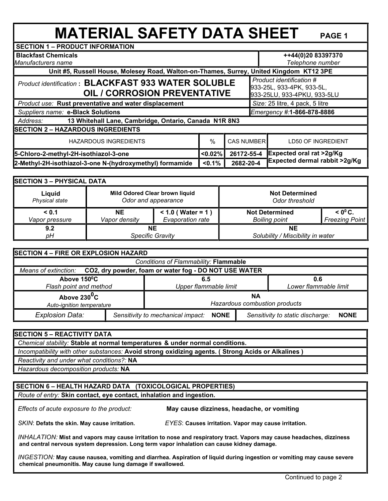# **MATERIAL SAFETY DATA SHEET PAGE 1**

| <b>Blackfast Chemicals</b>                                         |            |                                                                                                                                                            |                                                                                                                           |  |  |
|--------------------------------------------------------------------|------------|------------------------------------------------------------------------------------------------------------------------------------------------------------|---------------------------------------------------------------------------------------------------------------------------|--|--|
|                                                                    |            |                                                                                                                                                            | Telephone number                                                                                                          |  |  |
|                                                                    |            |                                                                                                                                                            |                                                                                                                           |  |  |
|                                                                    |            |                                                                                                                                                            | Product identification #<br>933-25L, 933-4PK, 933-5L,<br>933-25LU, 933-4PKU, 933-5LU                                      |  |  |
| Product use: Rust preventative and water displacement              |            |                                                                                                                                                            | Size: 25 litre, 4 pack, 5 litre                                                                                           |  |  |
| Suppliers name: e-Black Solutions                                  |            |                                                                                                                                                            | Emergency #:1-866-878-8886                                                                                                |  |  |
|                                                                    |            |                                                                                                                                                            |                                                                                                                           |  |  |
|                                                                    |            |                                                                                                                                                            |                                                                                                                           |  |  |
| %<br><b>HAZARDOUS INGREDIENTS</b>                                  |            |                                                                                                                                                            | <b>LD50 OF INGREDIENT</b>                                                                                                 |  |  |
| < 0.02%                                                            | 26172-55-4 |                                                                                                                                                            | Expected oral rat >2g/Kg                                                                                                  |  |  |
| 2-Methyl-2H-isothiazol-3-one N-(hydroxymethyl) formamide<br>< 0.1% |            |                                                                                                                                                            | <b>Expected dermal rabbit &gt;2g/Kg</b>                                                                                   |  |  |
|                                                                    |            | <b>Product identification: BLACKFAST 933 WATER SOLUBLE</b><br><b>OIL / CORROSION PREVENTATIVE</b><br>13 Whitehall Lane, Cambridge, Ontario, Canada N1R 8N3 | Unit #5, Russell House, Molesey Road, Walton-on-Thames, Surrey, United Kingdom KT12 3PE<br><b>CAS NUMBER</b><br>2682-20-4 |  |  |

| <b>SECTION 3 - PHYSICAL DATA</b> |                                |                     |                                   |                       |  |  |
|----------------------------------|--------------------------------|---------------------|-----------------------------------|-----------------------|--|--|
| Liquid                           | Mild Odored Clear brown liquid |                     | <b>Not Determined</b>             |                       |  |  |
| Physical state                   | Odor and appearance            |                     | Odor threshold                    |                       |  |  |
| < 0.1                            | <b>NE</b>                      | $< 1.0$ (Water = 1) | <b>Not Determined</b>             | $< 0^{\circ}$ C.      |  |  |
| Vapor pressure                   | Vapor density                  | Evaporation rate    | <b>Boiling point</b>              | <b>Freezing Point</b> |  |  |
| 9.2                              | ΝE                             |                     | NΕ                                |                       |  |  |
| pН                               | <b>Specific Gravity</b>        |                     | Solubility / Miscibility in water |                       |  |  |

| <b>SECTION 4 - FIRE OR EXPLOSION HAZARD</b>                                |                                                  |                                     |  |                                  |                              |  |
|----------------------------------------------------------------------------|--------------------------------------------------|-------------------------------------|--|----------------------------------|------------------------------|--|
|                                                                            | Conditions of Flammability: Flammable            |                                     |  |                                  |                              |  |
| Means of extinction: CO2, dry powder, foam or water fog - DO NOT USE WATER |                                                  |                                     |  |                                  |                              |  |
| Above 150°C<br>Flash point and method                                      |                                                  | 6.5<br>Upper flammable limit        |  |                                  | 0.6<br>Lower flammable limit |  |
| Above $230^0C$<br>Auto-ignition temperature                                |                                                  | ΝA<br>Hazardous combustion products |  |                                  |                              |  |
| <b>Explosion Data:</b>                                                     | Sensitivity to mechanical impact:<br><b>NONE</b> |                                     |  | Sensitivity to static discharge: | <b>NONE</b>                  |  |

| <b>SECTION 5 - REACTIVITY DATA</b>                                                                |
|---------------------------------------------------------------------------------------------------|
| Chemical stability: Stable at normal temperatures & under normal conditions.                      |
| Incompatibility with other substances: Avoid strong oxidizing agents. (Strong Acids or Alkalines) |
| Reactivity and under what conditions?: NA                                                         |
| Hazardous decomposition products: NA                                                              |

## **SECTION 6 – HEALTH HAZARD DATA (TOXICOLOGICAL PROPERTIES)**

 *Route of entry:* **Skin contact, eye contact, inhalation and ingestion.**

 *Effects of acute exposure to the product:* **May cause dizziness, headache, or vomiting** 

 *SKIN*: **Defats the skin. May cause irritation.** *EYES*: **Causes irritation. Vapor may cause irritation.** 

 *INHALATION:* **Mist and vapors may cause irritation to nose and respiratory tract. Vapors may cause headaches, dizziness and central nervous system depression. Long term vapor inhalation can cause kidney damage.**

 *INGESTION:* **May cause nausea, vomiting and diarrhea. Aspiration of liquid during ingestion or vomiting may cause severe chemical pneumonitis. May cause lung damage if swallowed.**